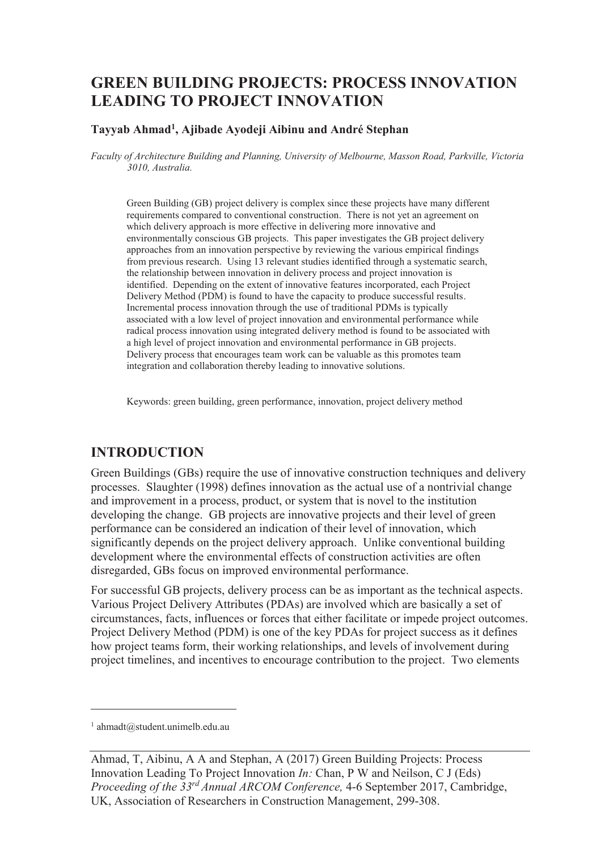# **GREEN BUILDING PROJECTS: PROCESS INNOVATION LEADING TO PROJECT INNOVATION**

#### **Tayyab Ahmad<sup>1</sup> , Ajibade Ayodeji Aibinu and André Stephan**

*Faculty of Architecture Building and Planning, University of Melbourne, Masson Road, Parkville, Victoria 3010, Australia.* 

Green Building (GB) project delivery is complex since these projects have many different requirements compared to conventional construction. There is not yet an agreement on which delivery approach is more effective in delivering more innovative and environmentally conscious GB projects. This paper investigates the GB project delivery approaches from an innovation perspective by reviewing the various empirical findings from previous research. Using 13 relevant studies identified through a systematic search, the relationship between innovation in delivery process and project innovation is identified. Depending on the extent of innovative features incorporated, each Project Delivery Method (PDM) is found to have the capacity to produce successful results. Incremental process innovation through the use of traditional PDMs is typically associated with a low level of project innovation and environmental performance while radical process innovation using integrated delivery method is found to be associated with a high level of project innovation and environmental performance in GB projects. Delivery process that encourages team work can be valuable as this promotes team integration and collaboration thereby leading to innovative solutions.

Keywords: green building, green performance, innovation, project delivery method

### **INTRODUCTION**

Green Buildings (GBs) require the use of innovative construction techniques and delivery processes. Slaughter (1998) defines innovation as the actual use of a nontrivial change and improvement in a process, product, or system that is novel to the institution developing the change. GB projects are innovative projects and their level of green performance can be considered an indication of their level of innovation, which significantly depends on the project delivery approach. Unlike conventional building development where the environmental effects of construction activities are often disregarded, GBs focus on improved environmental performance.

For successful GB projects, delivery process can be as important as the technical aspects. Various Project Delivery Attributes (PDAs) are involved which are basically a set of circumstances, facts, influences or forces that either facilitate or impede project outcomes. Project Delivery Method (PDM) is one of the key PDAs for project success as it defines how project teams form, their working relationships, and levels of involvement during project timelines, and incentives to encourage contribution to the project. Two elements

-

<sup>1</sup> ahmadt@student.unimelb.edu.au

Ahmad, T, Aibinu, A A and Stephan, A (2017) Green Building Projects: Process Innovation Leading To Project Innovation *In:* Chan, P W and Neilson, C J (Eds) *Proceeding of the 33rd Annual ARCOM Conference,* 4-6 September 2017, Cambridge, UK, Association of Researchers in Construction Management, 299-308.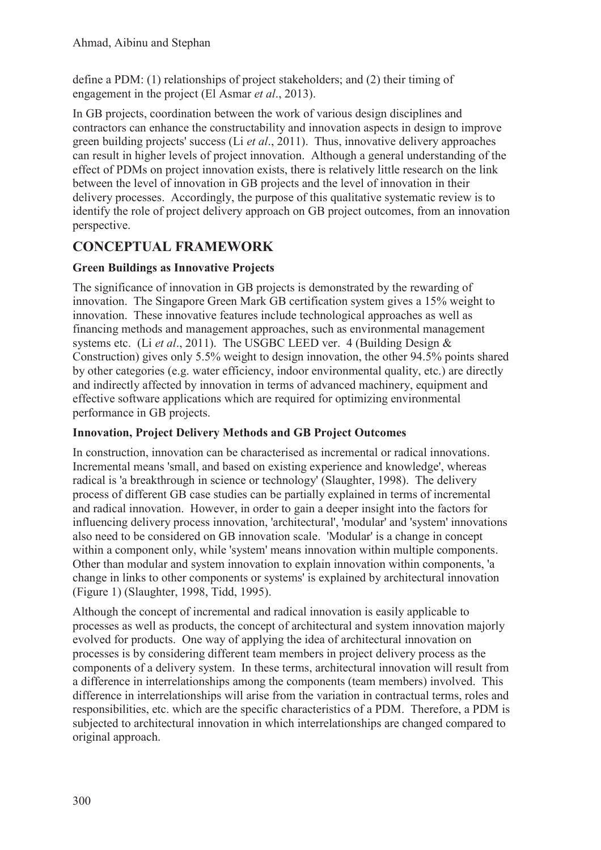define a PDM: (1) relationships of project stakeholders; and (2) their timing of engagement in the project (El Asmar *et al*., 2013).

In GB projects, coordination between the work of various design disciplines and contractors can enhance the constructability and innovation aspects in design to improve green building projects' success (Li *et al*., 2011). Thus, innovative delivery approaches can result in higher levels of project innovation. Although a general understanding of the effect of PDMs on project innovation exists, there is relatively little research on the link between the level of innovation in GB projects and the level of innovation in their delivery processes. Accordingly, the purpose of this qualitative systematic review is to identify the role of project delivery approach on GB project outcomes, from an innovation perspective.

## **CONCEPTUAL FRAMEWORK**

### **Green Buildings as Innovative Projects**

The significance of innovation in GB projects is demonstrated by the rewarding of innovation. The Singapore Green Mark GB certification system gives a 15% weight to innovation. These innovative features include technological approaches as well as financing methods and management approaches, such as environmental management systems etc. (Li *et al*., 2011). The USGBC LEED ver. 4 (Building Design & Construction) gives only 5.5% weight to design innovation, the other 94.5% points shared by other categories (e.g. water efficiency, indoor environmental quality, etc.) are directly and indirectly affected by innovation in terms of advanced machinery, equipment and effective software applications which are required for optimizing environmental performance in GB projects.

### **Innovation, Project Delivery Methods and GB Project Outcomes**

In construction, innovation can be characterised as incremental or radical innovations. Incremental means 'small, and based on existing experience and knowledge', whereas radical is 'a breakthrough in science or technology' (Slaughter, 1998). The delivery process of different GB case studies can be partially explained in terms of incremental and radical innovation. However, in order to gain a deeper insight into the factors for influencing delivery process innovation, 'architectural', 'modular' and 'system' innovations also need to be considered on GB innovation scale. 'Modular' is a change in concept within a component only, while 'system' means innovation within multiple components. Other than modular and system innovation to explain innovation within components, 'a change in links to other components or systems' is explained by architectural innovation (Figure 1) (Slaughter, 1998, Tidd, 1995).

Although the concept of incremental and radical innovation is easily applicable to processes as well as products, the concept of architectural and system innovation majorly evolved for products. One way of applying the idea of architectural innovation on processes is by considering different team members in project delivery process as the components of a delivery system. In these terms, architectural innovation will result from a difference in interrelationships among the components (team members) involved. This difference in interrelationships will arise from the variation in contractual terms, roles and responsibilities, etc. which are the specific characteristics of a PDM. Therefore, a PDM is subjected to architectural innovation in which interrelationships are changed compared to original approach.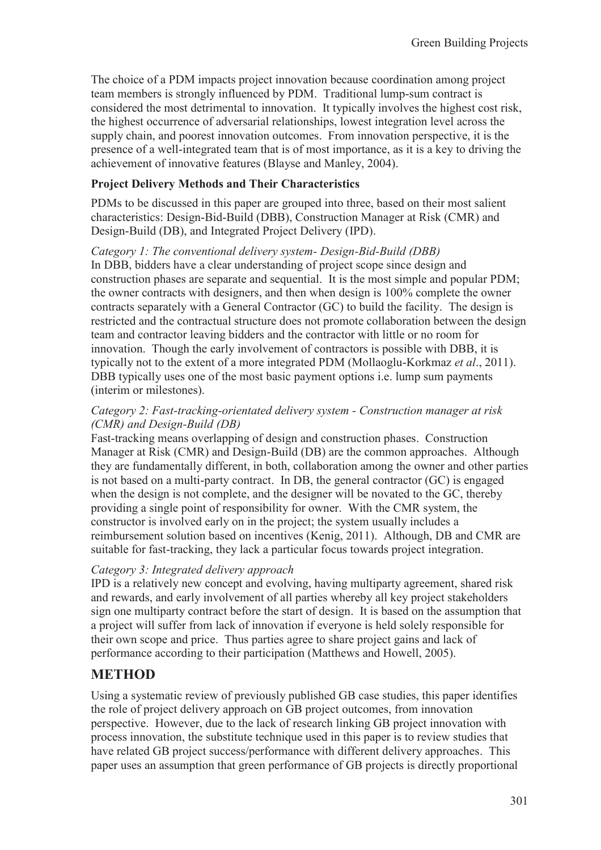The choice of a PDM impacts project innovation because coordination among project team members is strongly influenced by PDM. Traditional lump-sum contract is considered the most detrimental to innovation. It typically involves the highest cost risk, the highest occurrence of adversarial relationships, lowest integration level across the supply chain, and poorest innovation outcomes. From innovation perspective, it is the presence of a well-integrated team that is of most importance, as it is a key to driving the achievement of innovative features (Blayse and Manley, 2004).

#### **Project Delivery Methods and Their Characteristics**

PDMs to be discussed in this paper are grouped into three, based on their most salient characteristics: Design-Bid-Build (DBB), Construction Manager at Risk (CMR) and Design-Build (DB), and Integrated Project Delivery (IPD).

*Category 1: The conventional delivery system- Design-Bid-Build (DBB)*  In DBB, bidders have a clear understanding of project scope since design and

construction phases are separate and sequential. It is the most simple and popular PDM; the owner contracts with designers, and then when design is 100% complete the owner contracts separately with a General Contractor (GC) to build the facility. The design is restricted and the contractual structure does not promote collaboration between the design team and contractor leaving bidders and the contractor with little or no room for innovation. Though the early involvement of contractors is possible with DBB, it is typically not to the extent of a more integrated PDM (Mollaoglu-Korkmaz *et al*., 2011). DBB typically uses one of the most basic payment options i.e. lump sum payments (interim or milestones).

#### *Category 2: Fast-tracking-orientated delivery system - Construction manager at risk (CMR) and Design-Build (DB)*

Fast-tracking means overlapping of design and construction phases. Construction Manager at Risk (CMR) and Design-Build (DB) are the common approaches. Although they are fundamentally different, in both, collaboration among the owner and other parties is not based on a multi-party contract. In DB, the general contractor (GC) is engaged when the design is not complete, and the designer will be novated to the GC, thereby providing a single point of responsibility for owner. With the CMR system, the constructor is involved early on in the project; the system usually includes a reimbursement solution based on incentives (Kenig, 2011). Although, DB and CMR are suitable for fast-tracking, they lack a particular focus towards project integration.

#### *Category 3: Integrated delivery approach*

IPD is a relatively new concept and evolving, having multiparty agreement, shared risk and rewards, and early involvement of all parties whereby all key project stakeholders sign one multiparty contract before the start of design. It is based on the assumption that a project will suffer from lack of innovation if everyone is held solely responsible for their own scope and price. Thus parties agree to share project gains and lack of performance according to their participation (Matthews and Howell, 2005).

## **METHOD**

Using a systematic review of previously published GB case studies, this paper identifies the role of project delivery approach on GB project outcomes, from innovation perspective. However, due to the lack of research linking GB project innovation with process innovation, the substitute technique used in this paper is to review studies that have related GB project success/performance with different delivery approaches. This paper uses an assumption that green performance of GB projects is directly proportional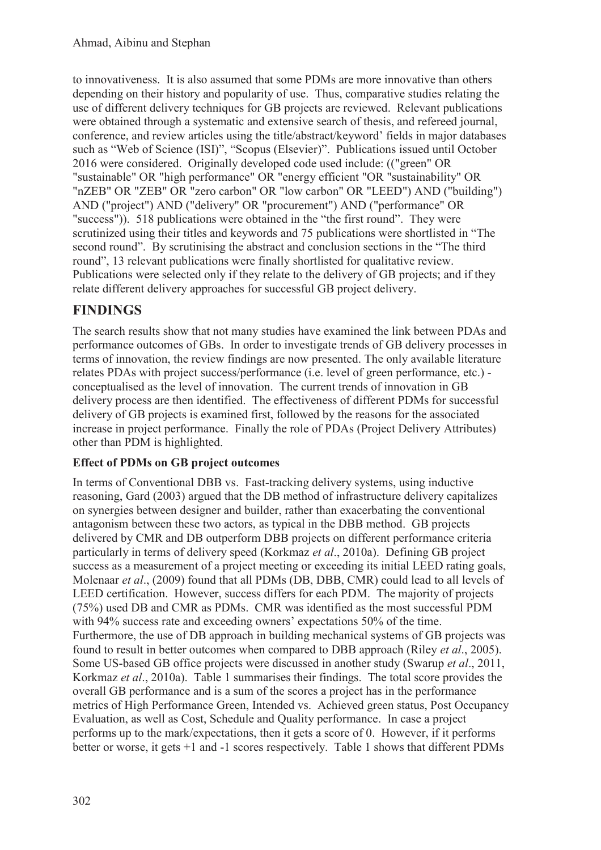to innovativeness. It is also assumed that some PDMs are more innovative than others depending on their history and popularity of use. Thus, comparative studies relating the use of different delivery techniques for GB projects are reviewed. Relevant publications were obtained through a systematic and extensive search of thesis, and refereed journal, conference, and review articles using the title/abstract/keyword' fields in major databases such as "Web of Science (ISI)", "Scopus (Elsevier)". Publications issued until October 2016 were considered. Originally developed code used include: (("green" OR "sustainable" OR "high performance" OR "energy efficient "OR "sustainability" OR "nZEB" OR "ZEB" OR "zero carbon" OR "low carbon" OR "LEED") AND ("building") AND ("project") AND ("delivery" OR "procurement") AND ("performance" OR "success")). 518 publications were obtained in the "the first round". They were scrutinized using their titles and keywords and 75 publications were shortlisted in "The second round". By scrutinising the abstract and conclusion sections in the "The third round", 13 relevant publications were finally shortlisted for qualitative review. Publications were selected only if they relate to the delivery of GB projects; and if they relate different delivery approaches for successful GB project delivery.

## **FINDINGS**

The search results show that not many studies have examined the link between PDAs and performance outcomes of GBs. In order to investigate trends of GB delivery processes in terms of innovation, the review findings are now presented. The only available literature relates PDAs with project success/performance (i.e. level of green performance, etc.) conceptualised as the level of innovation. The current trends of innovation in GB delivery process are then identified. The effectiveness of different PDMs for successful delivery of GB projects is examined first, followed by the reasons for the associated increase in project performance. Finally the role of PDAs (Project Delivery Attributes) other than PDM is highlighted.

### **Effect of PDMs on GB project outcomes**

In terms of Conventional DBB vs. Fast-tracking delivery systems, using inductive reasoning, Gard (2003) argued that the DB method of infrastructure delivery capitalizes on synergies between designer and builder, rather than exacerbating the conventional antagonism between these two actors, as typical in the DBB method. GB projects delivered by CMR and DB outperform DBB projects on different performance criteria particularly in terms of delivery speed (Korkmaz *et al*., 2010a). Defining GB project success as a measurement of a project meeting or exceeding its initial LEED rating goals, Molenaar *et al*., (2009) found that all PDMs (DB, DBB, CMR) could lead to all levels of LEED certification. However, success differs for each PDM. The majority of projects (75%) used DB and CMR as PDMs. CMR was identified as the most successful PDM with 94% success rate and exceeding owners' expectations 50% of the time. Furthermore, the use of DB approach in building mechanical systems of GB projects was found to result in better outcomes when compared to DBB approach (Riley *et al*., 2005). Some US-based GB office projects were discussed in another study (Swarup *et al*., 2011, Korkmaz *et al*., 2010a). Table 1 summarises their findings. The total score provides the overall GB performance and is a sum of the scores a project has in the performance metrics of High Performance Green, Intended vs. Achieved green status, Post Occupancy Evaluation, as well as Cost, Schedule and Quality performance. In case a project performs up to the mark/expectations, then it gets a score of 0. However, if it performs better or worse, it gets +1 and -1 scores respectively. Table 1 shows that different PDMs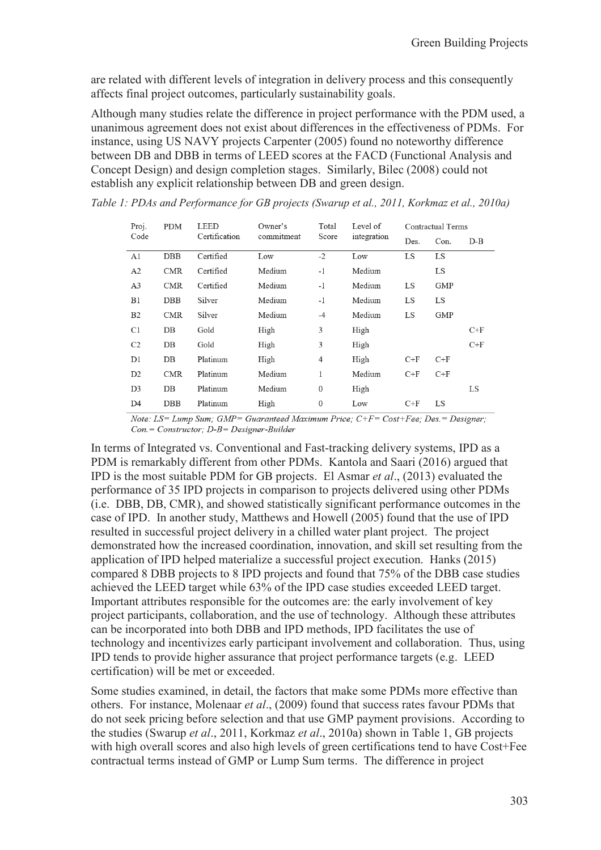are related with different levels of integration in delivery process and this consequently affects final project outcomes, particularly sustainability goals.

Although many studies relate the difference in project performance with the PDM used, a unanimous agreement does not exist about differences in the effectiveness of PDMs. For instance, using US NAVY projects Carpenter (2005) found no noteworthy difference between DB and DBB in terms of LEED scores at the FACD (Functional Analysis and Concept Design) and design completion stages. Similarly, Bilec (2008) could not establish any explicit relationship between DB and green design.

| Proj.<br>Code  | <b>PDM</b> | <b>LEED</b><br>Certification | Owner's<br>commitment | Total<br>Score   | Level of<br>integration | Contractual Terms |            |       |
|----------------|------------|------------------------------|-----------------------|------------------|-------------------------|-------------------|------------|-------|
|                |            |                              |                       |                  |                         | Des.              | Con.       | $D-B$ |
| A1             | DBB        | Certified                    | Low                   | $-2$             | Low                     | <b>LS</b>         | <b>LS</b>  |       |
| A <sub>2</sub> | <b>CMR</b> | Certified                    | Medium                | $-1$             | Medium                  |                   | <b>LS</b>  |       |
| A <sub>3</sub> | <b>CMR</b> | Certified                    | Medium                | $-1$             | Medium                  | LS                | <b>GMP</b> |       |
| B <sub>1</sub> | DBB        | Silver                       | Medium                | $-1$             | Medium                  | LS                | LS         |       |
| B2             | <b>CMR</b> | Silver                       | Medium                | $-4$             | Medium                  | <b>LS</b>         | GMP        |       |
| C1             | $DB$       | Gold                         | High                  | 3                | High                    |                   |            | $C+F$ |
| C <sub>2</sub> | DB         | Gold                         | High                  | 3                | High                    |                   |            | $C+F$ |
| D1             | $DB$       | Platinum                     | High                  | 4                | High                    | $C+F$             | $C+F$      |       |
| D <sub>2</sub> | <b>CMR</b> | Platinum                     | Medium                | 1                | Medium                  | $C+F$             | $C+F$      |       |
| D <sub>3</sub> | $DB$       | Platinum                     | Medium                | $\mathbf{0}$     | High                    |                   |            | LS    |
| D <sub>4</sub> | <b>DBB</b> | Platinum                     | High                  | $\boldsymbol{0}$ | Low                     | $C+F$             | LS         |       |

*Table 1: PDAs and Performance for GB projects (Swarup et al., 2011, Korkmaz et al., 2010a)* 

Note: LS= Lump Sum; GMP= Guaranteed Maximum Price; C+F= Cost+Fee; Des.= Designer;  $Con = Constructor; D-B = Designer-Builder$ 

In terms of Integrated vs. Conventional and Fast-tracking delivery systems, IPD as a PDM is remarkably different from other PDMs. Kantola and Saari (2016) argued that IPD is the most suitable PDM for GB projects. El Asmar *et al*., (2013) evaluated the performance of 35 IPD projects in comparison to projects delivered using other PDMs (i.e. DBB, DB, CMR), and showed statistically significant performance outcomes in the case of IPD. In another study, Matthews and Howell (2005) found that the use of IPD resulted in successful project delivery in a chilled water plant project. The project demonstrated how the increased coordination, innovation, and skill set resulting from the application of IPD helped materialize a successful project execution. Hanks (2015) compared 8 DBB projects to 8 IPD projects and found that 75% of the DBB case studies achieved the LEED target while 63% of the IPD case studies exceeded LEED target. Important attributes responsible for the outcomes are: the early involvement of key project participants, collaboration, and the use of technology. Although these attributes can be incorporated into both DBB and IPD methods, IPD facilitates the use of technology and incentivizes early participant involvement and collaboration. Thus, using IPD tends to provide higher assurance that project performance targets (e.g. LEED certification) will be met or exceeded.

Some studies examined, in detail, the factors that make some PDMs more effective than others. For instance, Molenaar *et al*., (2009) found that success rates favour PDMs that do not seek pricing before selection and that use GMP payment provisions. According to the studies (Swarup *et al*., 2011, Korkmaz *et al*., 2010a) shown in Table 1, GB projects with high overall scores and also high levels of green certifications tend to have Cost+Fee contractual terms instead of GMP or Lump Sum terms. The difference in project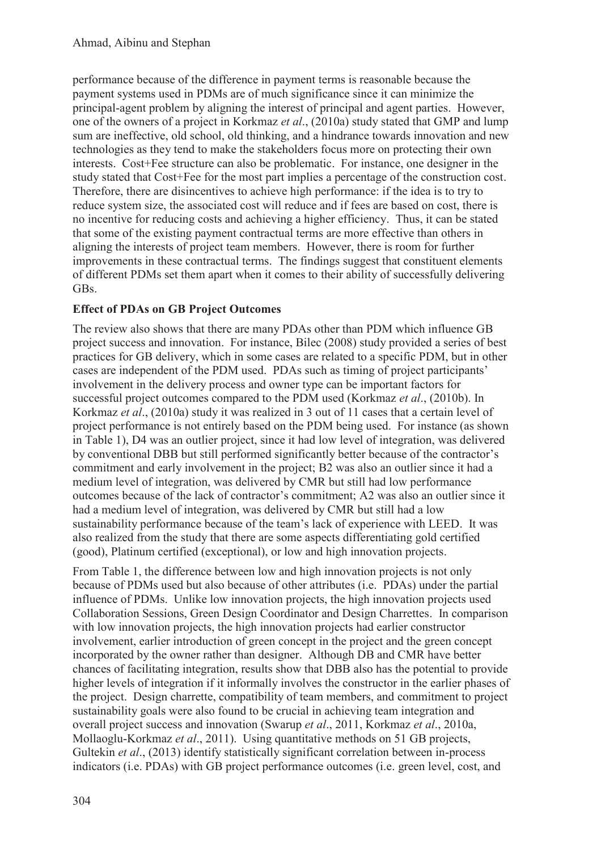performance because of the difference in payment terms is reasonable because the payment systems used in PDMs are of much significance since it can minimize the principal-agent problem by aligning the interest of principal and agent parties. However, one of the owners of a project in Korkmaz *et al*., (2010a) study stated that GMP and lump sum are ineffective, old school, old thinking, and a hindrance towards innovation and new technologies as they tend to make the stakeholders focus more on protecting their own interests. Cost+Fee structure can also be problematic. For instance, one designer in the study stated that Cost+Fee for the most part implies a percentage of the construction cost. Therefore, there are disincentives to achieve high performance: if the idea is to try to reduce system size, the associated cost will reduce and if fees are based on cost, there is no incentive for reducing costs and achieving a higher efficiency. Thus, it can be stated that some of the existing payment contractual terms are more effective than others in aligning the interests of project team members. However, there is room for further improvements in these contractual terms. The findings suggest that constituent elements of different PDMs set them apart when it comes to their ability of successfully delivering GBs.

### **Effect of PDAs on GB Project Outcomes**

The review also shows that there are many PDAs other than PDM which influence GB project success and innovation. For instance, Bilec (2008) study provided a series of best practices for GB delivery, which in some cases are related to a specific PDM, but in other cases are independent of the PDM used. PDAs such as timing of project participants' involvement in the delivery process and owner type can be important factors for successful project outcomes compared to the PDM used (Korkmaz *et al*., (2010b). In Korkmaz *et al*., (2010a) study it was realized in 3 out of 11 cases that a certain level of project performance is not entirely based on the PDM being used. For instance (as shown in Table 1), D4 was an outlier project, since it had low level of integration, was delivered by conventional DBB but still performed significantly better because of the contractor's commitment and early involvement in the project; B2 was also an outlier since it had a medium level of integration, was delivered by CMR but still had low performance outcomes because of the lack of contractor's commitment; A2 was also an outlier since it had a medium level of integration, was delivered by CMR but still had a low sustainability performance because of the team's lack of experience with LEED. It was also realized from the study that there are some aspects differentiating gold certified (good), Platinum certified (exceptional), or low and high innovation projects.

From Table 1, the difference between low and high innovation projects is not only because of PDMs used but also because of other attributes (i.e. PDAs) under the partial influence of PDMs. Unlike low innovation projects, the high innovation projects used Collaboration Sessions, Green Design Coordinator and Design Charrettes. In comparison with low innovation projects, the high innovation projects had earlier constructor involvement, earlier introduction of green concept in the project and the green concept incorporated by the owner rather than designer. Although DB and CMR have better chances of facilitating integration, results show that DBB also has the potential to provide higher levels of integration if it informally involves the constructor in the earlier phases of the project. Design charrette, compatibility of team members, and commitment to project sustainability goals were also found to be crucial in achieving team integration and overall project success and innovation (Swarup *et al*., 2011, Korkmaz *et al*., 2010a, Mollaoglu-Korkmaz *et al*., 2011). Using quantitative methods on 51 GB projects, Gultekin *et al*., (2013) identify statistically significant correlation between in-process indicators (i.e. PDAs) with GB project performance outcomes (i.e. green level, cost, and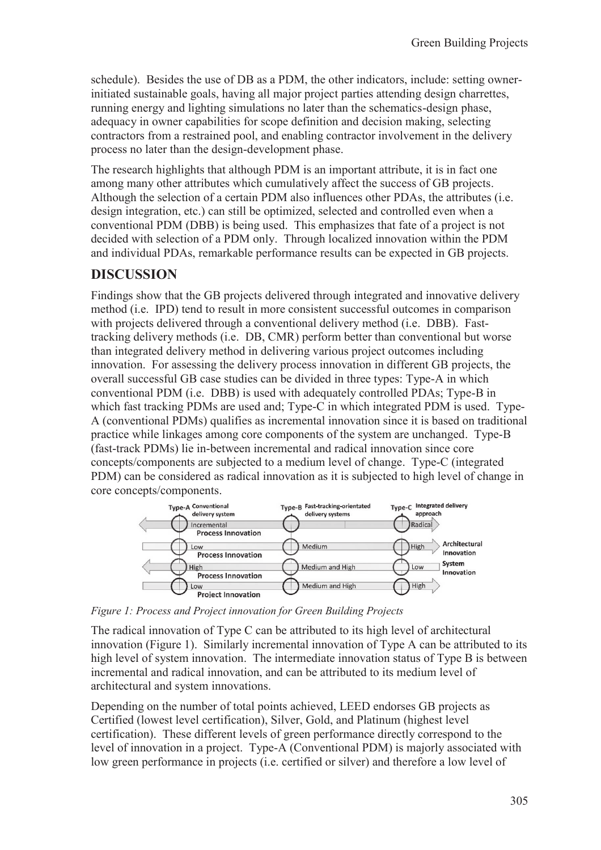schedule). Besides the use of DB as a PDM, the other indicators, include: setting ownerinitiated sustainable goals, having all major project parties attending design charrettes, running energy and lighting simulations no later than the schematics-design phase, adequacy in owner capabilities for scope definition and decision making, selecting contractors from a restrained pool, and enabling contractor involvement in the delivery process no later than the design-development phase.

The research highlights that although PDM is an important attribute, it is in fact one among many other attributes which cumulatively affect the success of GB projects. Although the selection of a certain PDM also influences other PDAs, the attributes (i.e. design integration, etc.) can still be optimized, selected and controlled even when a conventional PDM (DBB) is being used. This emphasizes that fate of a project is not decided with selection of a PDM only. Through localized innovation within the PDM and individual PDAs, remarkable performance results can be expected in GB projects.

## **DISCUSSION**

Findings show that the GB projects delivered through integrated and innovative delivery method (i.e. IPD) tend to result in more consistent successful outcomes in comparison with projects delivered through a conventional delivery method (*i.e.* DBB). Fasttracking delivery methods (i.e. DB, CMR) perform better than conventional but worse than integrated delivery method in delivering various project outcomes including innovation. For assessing the delivery process innovation in different GB projects, the overall successful GB case studies can be divided in three types: Type-A in which conventional PDM (i.e. DBB) is used with adequately controlled PDAs; Type-B in which fast tracking PDMs are used and; Type-C in which integrated PDM is used. Type-A (conventional PDMs) qualifies as incremental innovation since it is based on traditional practice while linkages among core components of the system are unchanged. Type-B (fast-track PDMs) lie in-between incremental and radical innovation since core concepts/components are subjected to a medium level of change. Type-C (integrated PDM) can be considered as radical innovation as it is subjected to high level of change in core concepts/components.



*Figure 1: Process and Project innovation for Green Building Projects* 

The radical innovation of Type C can be attributed to its high level of architectural innovation (Figure 1). Similarly incremental innovation of Type A can be attributed to its high level of system innovation. The intermediate innovation status of Type B is between incremental and radical innovation, and can be attributed to its medium level of architectural and system innovations.

Depending on the number of total points achieved, LEED endorses GB projects as Certified (lowest level certification), Silver, Gold, and Platinum (highest level certification). These different levels of green performance directly correspond to the level of innovation in a project. Type-A (Conventional PDM) is majorly associated with low green performance in projects (i.e. certified or silver) and therefore a low level of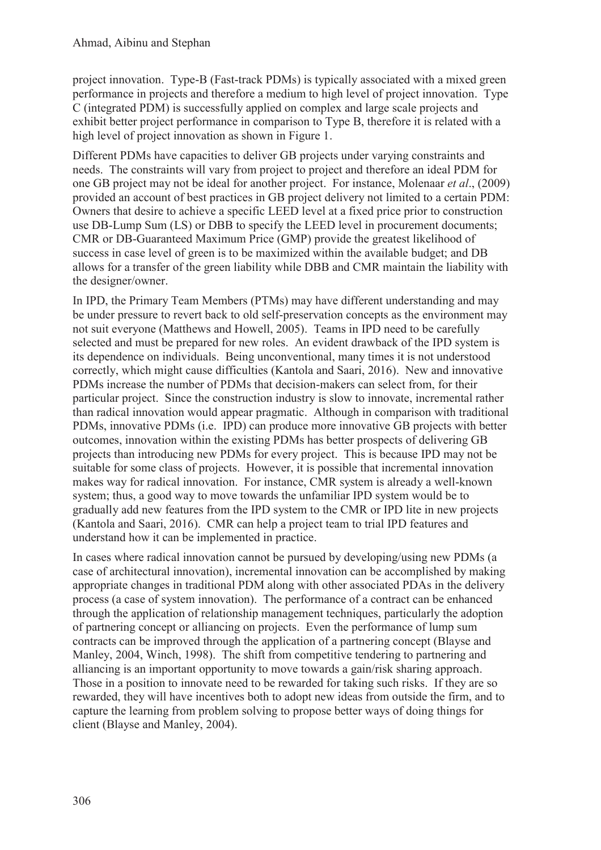project innovation. Type-B (Fast-track PDMs) is typically associated with a mixed green performance in projects and therefore a medium to high level of project innovation. Type C (integrated PDM) is successfully applied on complex and large scale projects and exhibit better project performance in comparison to Type B, therefore it is related with a high level of project innovation as shown in Figure 1.

Different PDMs have capacities to deliver GB projects under varying constraints and needs. The constraints will vary from project to project and therefore an ideal PDM for one GB project may not be ideal for another project. For instance, Molenaar *et al*., (2009) provided an account of best practices in GB project delivery not limited to a certain PDM: Owners that desire to achieve a specific LEED level at a fixed price prior to construction use DB-Lump Sum (LS) or DBB to specify the LEED level in procurement documents; CMR or DB-Guaranteed Maximum Price (GMP) provide the greatest likelihood of success in case level of green is to be maximized within the available budget; and DB allows for a transfer of the green liability while DBB and CMR maintain the liability with the designer/owner.

In IPD, the Primary Team Members (PTMs) may have different understanding and may be under pressure to revert back to old self-preservation concepts as the environment may not suit everyone (Matthews and Howell, 2005). Teams in IPD need to be carefully selected and must be prepared for new roles. An evident drawback of the IPD system is its dependence on individuals. Being unconventional, many times it is not understood correctly, which might cause difficulties (Kantola and Saari, 2016). New and innovative PDMs increase the number of PDMs that decision-makers can select from, for their particular project. Since the construction industry is slow to innovate, incremental rather than radical innovation would appear pragmatic. Although in comparison with traditional PDMs, innovative PDMs (i.e. IPD) can produce more innovative GB projects with better outcomes, innovation within the existing PDMs has better prospects of delivering GB projects than introducing new PDMs for every project. This is because IPD may not be suitable for some class of projects. However, it is possible that incremental innovation makes way for radical innovation. For instance, CMR system is already a well-known system; thus, a good way to move towards the unfamiliar IPD system would be to gradually add new features from the IPD system to the CMR or IPD lite in new projects (Kantola and Saari, 2016). CMR can help a project team to trial IPD features and understand how it can be implemented in practice.

In cases where radical innovation cannot be pursued by developing/using new PDMs (a case of architectural innovation), incremental innovation can be accomplished by making appropriate changes in traditional PDM along with other associated PDAs in the delivery process (a case of system innovation). The performance of a contract can be enhanced through the application of relationship management techniques, particularly the adoption of partnering concept or alliancing on projects. Even the performance of lump sum contracts can be improved through the application of a partnering concept (Blayse and Manley, 2004, Winch, 1998). The shift from competitive tendering to partnering and alliancing is an important opportunity to move towards a gain/risk sharing approach. Those in a position to innovate need to be rewarded for taking such risks. If they are so rewarded, they will have incentives both to adopt new ideas from outside the firm, and to capture the learning from problem solving to propose better ways of doing things for client (Blayse and Manley, 2004).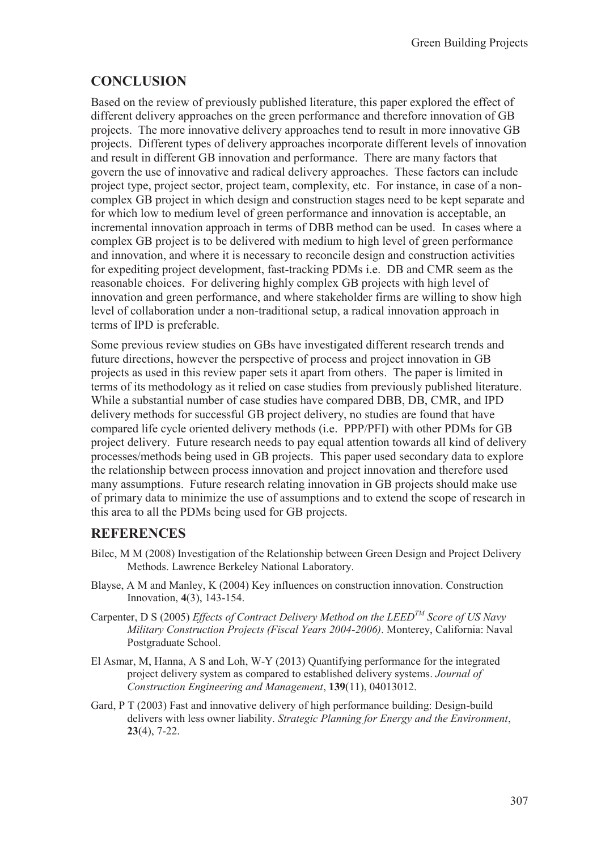## **CONCLUSION**

Based on the review of previously published literature, this paper explored the effect of different delivery approaches on the green performance and therefore innovation of GB projects. The more innovative delivery approaches tend to result in more innovative GB projects. Different types of delivery approaches incorporate different levels of innovation and result in different GB innovation and performance. There are many factors that govern the use of innovative and radical delivery approaches. These factors can include project type, project sector, project team, complexity, etc. For instance, in case of a noncomplex GB project in which design and construction stages need to be kept separate and for which low to medium level of green performance and innovation is acceptable, an incremental innovation approach in terms of DBB method can be used. In cases where a complex GB project is to be delivered with medium to high level of green performance and innovation, and where it is necessary to reconcile design and construction activities for expediting project development, fast-tracking PDMs i.e. DB and CMR seem as the reasonable choices. For delivering highly complex GB projects with high level of innovation and green performance, and where stakeholder firms are willing to show high level of collaboration under a non-traditional setup, a radical innovation approach in terms of IPD is preferable.

Some previous review studies on GBs have investigated different research trends and future directions, however the perspective of process and project innovation in GB projects as used in this review paper sets it apart from others. The paper is limited in terms of its methodology as it relied on case studies from previously published literature. While a substantial number of case studies have compared DBB, DB, CMR, and IPD delivery methods for successful GB project delivery, no studies are found that have compared life cycle oriented delivery methods (i.e. PPP/PFI) with other PDMs for GB project delivery. Future research needs to pay equal attention towards all kind of delivery processes/methods being used in GB projects. This paper used secondary data to explore the relationship between process innovation and project innovation and therefore used many assumptions. Future research relating innovation in GB projects should make use of primary data to minimize the use of assumptions and to extend the scope of research in this area to all the PDMs being used for GB projects.

### **REFERENCES**

- Bilec, M M (2008) Investigation of the Relationship between Green Design and Project Delivery Methods. Lawrence Berkeley National Laboratory.
- Blayse, A M and Manley, K (2004) Key influences on construction innovation. Construction Innovation, **4**(3), 143-154.
- Carpenter, D S (2005) *Effects of Contract Delivery Method on the LEEDTM Score of US Navy Military Construction Projects (Fiscal Years 2004-2006)*. Monterey, California: Naval Postgraduate School.
- El Asmar, M, Hanna, A S and Loh, W-Y (2013) Quantifying performance for the integrated project delivery system as compared to established delivery systems. *Journal of Construction Engineering and Management*, **139**(11), 04013012.
- Gard, P T (2003) Fast and innovative delivery of high performance building: Design-build delivers with less owner liability. *Strategic Planning for Energy and the Environment*, **23**(4), 7-22.